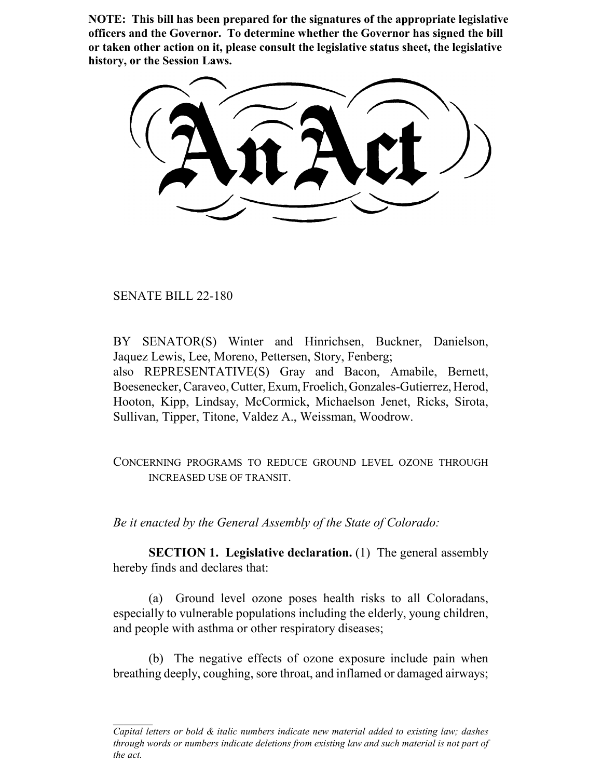**NOTE: This bill has been prepared for the signatures of the appropriate legislative officers and the Governor. To determine whether the Governor has signed the bill or taken other action on it, please consult the legislative status sheet, the legislative history, or the Session Laws.**

SENATE BILL 22-180

BY SENATOR(S) Winter and Hinrichsen, Buckner, Danielson, Jaquez Lewis, Lee, Moreno, Pettersen, Story, Fenberg; also REPRESENTATIVE(S) Gray and Bacon, Amabile, Bernett, Boesenecker, Caraveo, Cutter, Exum, Froelich, Gonzales-Gutierrez, Herod, Hooton, Kipp, Lindsay, McCormick, Michaelson Jenet, Ricks, Sirota, Sullivan, Tipper, Titone, Valdez A., Weissman, Woodrow.

CONCERNING PROGRAMS TO REDUCE GROUND LEVEL OZONE THROUGH INCREASED USE OF TRANSIT.

*Be it enacted by the General Assembly of the State of Colorado:*

**SECTION 1. Legislative declaration.** (1) The general assembly hereby finds and declares that:

(a) Ground level ozone poses health risks to all Coloradans, especially to vulnerable populations including the elderly, young children, and people with asthma or other respiratory diseases;

(b) The negative effects of ozone exposure include pain when breathing deeply, coughing, sore throat, and inflamed or damaged airways;

*Capital letters or bold & italic numbers indicate new material added to existing law; dashes through words or numbers indicate deletions from existing law and such material is not part of the act.*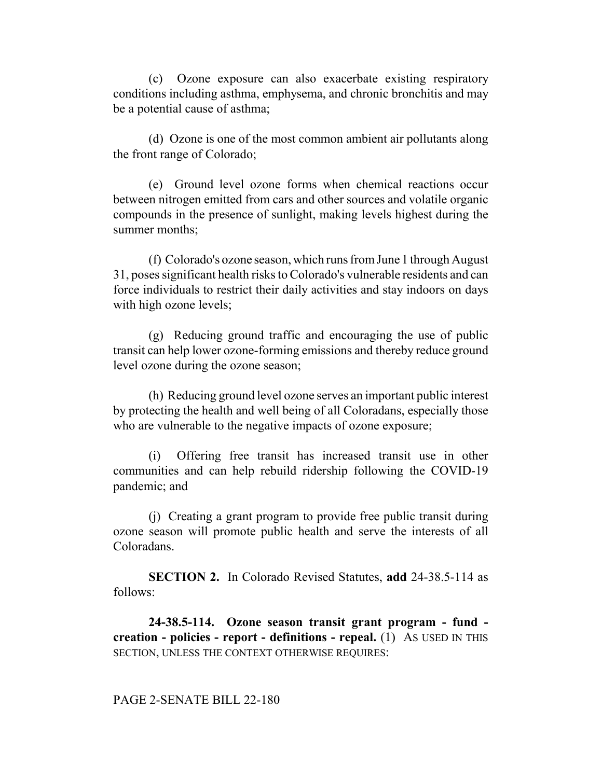(c) Ozone exposure can also exacerbate existing respiratory conditions including asthma, emphysema, and chronic bronchitis and may be a potential cause of asthma;

(d) Ozone is one of the most common ambient air pollutants along the front range of Colorado;

(e) Ground level ozone forms when chemical reactions occur between nitrogen emitted from cars and other sources and volatile organic compounds in the presence of sunlight, making levels highest during the summer months;

(f) Colorado's ozone season, which runs from June 1 through August 31, poses significant health risks to Colorado's vulnerable residents and can force individuals to restrict their daily activities and stay indoors on days with high ozone levels;

(g) Reducing ground traffic and encouraging the use of public transit can help lower ozone-forming emissions and thereby reduce ground level ozone during the ozone season;

(h) Reducing ground level ozone serves an important public interest by protecting the health and well being of all Coloradans, especially those who are vulnerable to the negative impacts of ozone exposure;

(i) Offering free transit has increased transit use in other communities and can help rebuild ridership following the COVID-19 pandemic; and

(j) Creating a grant program to provide free public transit during ozone season will promote public health and serve the interests of all Coloradans.

**SECTION 2.** In Colorado Revised Statutes, **add** 24-38.5-114 as follows:

**24-38.5-114. Ozone season transit grant program - fund creation - policies - report - definitions - repeal.** (1) AS USED IN THIS SECTION, UNLESS THE CONTEXT OTHERWISE REQUIRES:

## PAGE 2-SENATE BILL 22-180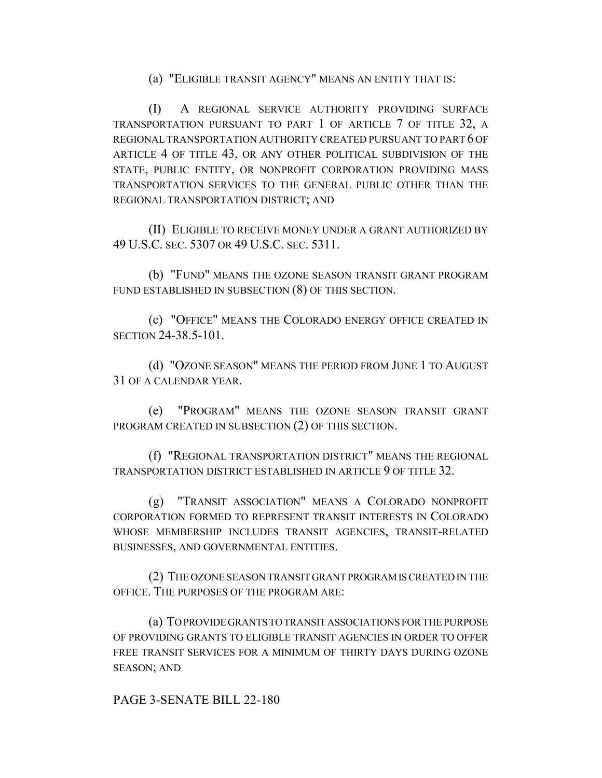(a) "ELIGIBLE TRANSIT AGENCY" MEANS AN ENTITY THAT IS:

(I) A REGIONAL SERVICE AUTHORITY PROVIDING SURFACE TRANSPORTATION PURSUANT TO PART 1 OF ARTICLE 7 OF TITLE 32, A REGIONAL TRANSPORTATION AUTHORITY CREATED PURSUANT TO PART 6 OF ARTICLE 4 OF TITLE 43, OR ANY OTHER POLITICAL SUBDIVISION OF THE STATE, PUBLIC ENTITY, OR NONPROFIT CORPORATION PROVIDING MASS TRANSPORTATION SERVICES TO THE GENERAL PUBLIC OTHER THAN THE REGIONAL TRANSPORTATION DISTRICT; AND

(II) ELIGIBLE TO RECEIVE MONEY UNDER A GRANT AUTHORIZED BY 49 U.S.C. SEC. 5307 OR 49 U.S.C. SEC. 5311.

(b) "FUND" MEANS THE OZONE SEASON TRANSIT GRANT PROGRAM FUND ESTABLISHED IN SUBSECTION (8) OF THIS SECTION.

(c) "OFFICE" MEANS THE COLORADO ENERGY OFFICE CREATED IN SECTION 24-38.5-101.

(d) "OZONE SEASON" MEANS THE PERIOD FROM JUNE 1 TO AUGUST 31 OF A CALENDAR YEAR.

(e) "PROGRAM" MEANS THE OZONE SEASON TRANSIT GRANT PROGRAM CREATED IN SUBSECTION (2) OF THIS SECTION.

(f) "REGIONAL TRANSPORTATION DISTRICT" MEANS THE REGIONAL TRANSPORTATION DISTRICT ESTABLISHED IN ARTICLE 9 OF TITLE 32.

(g) "TRANSIT ASSOCIATION" MEANS A COLORADO NONPROFIT CORPORATION FORMED TO REPRESENT TRANSIT INTERESTS IN COLORADO WHOSE MEMBERSHIP INCLUDES TRANSIT AGENCIES, TRANSIT-RELATED BUSINESSES, AND GOVERNMENTAL ENTITIES.

(2) THE OZONE SEASON TRANSIT GRANT PROGRAM IS CREATED IN THE OFFICE. THE PURPOSES OF THE PROGRAM ARE:

(a) TO PROVIDE GRANTS TO TRANSIT ASSOCIATIONS FOR THE PURPOSE OF PROVIDING GRANTS TO ELIGIBLE TRANSIT AGENCIES IN ORDER TO OFFER FREE TRANSIT SERVICES FOR A MINIMUM OF THIRTY DAYS DURING OZONE SEASON; AND

PAGE 3-SENATE BILL 22-180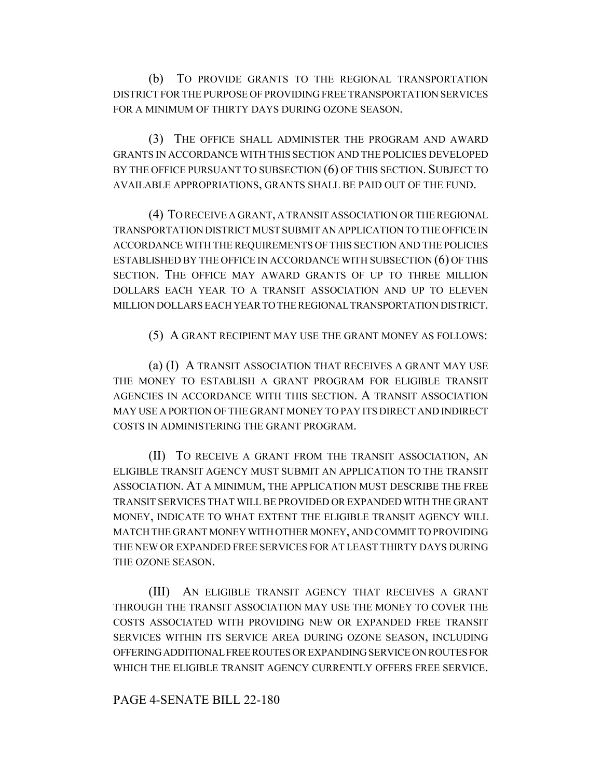(b) TO PROVIDE GRANTS TO THE REGIONAL TRANSPORTATION DISTRICT FOR THE PURPOSE OF PROVIDING FREE TRANSPORTATION SERVICES FOR A MINIMUM OF THIRTY DAYS DURING OZONE SEASON.

(3) THE OFFICE SHALL ADMINISTER THE PROGRAM AND AWARD GRANTS IN ACCORDANCE WITH THIS SECTION AND THE POLICIES DEVELOPED BY THE OFFICE PURSUANT TO SUBSECTION (6) OF THIS SECTION. SUBJECT TO AVAILABLE APPROPRIATIONS, GRANTS SHALL BE PAID OUT OF THE FUND.

(4) TO RECEIVE A GRANT, A TRANSIT ASSOCIATION OR THE REGIONAL TRANSPORTATION DISTRICT MUST SUBMIT AN APPLICATION TO THE OFFICE IN ACCORDANCE WITH THE REQUIREMENTS OF THIS SECTION AND THE POLICIES ESTABLISHED BY THE OFFICE IN ACCORDANCE WITH SUBSECTION (6) OF THIS SECTION. THE OFFICE MAY AWARD GRANTS OF UP TO THREE MILLION DOLLARS EACH YEAR TO A TRANSIT ASSOCIATION AND UP TO ELEVEN MILLION DOLLARS EACH YEAR TO THE REGIONAL TRANSPORTATION DISTRICT.

(5) A GRANT RECIPIENT MAY USE THE GRANT MONEY AS FOLLOWS:

(a) (I) A TRANSIT ASSOCIATION THAT RECEIVES A GRANT MAY USE THE MONEY TO ESTABLISH A GRANT PROGRAM FOR ELIGIBLE TRANSIT AGENCIES IN ACCORDANCE WITH THIS SECTION. A TRANSIT ASSOCIATION MAY USE A PORTION OF THE GRANT MONEY TO PAY ITS DIRECT AND INDIRECT COSTS IN ADMINISTERING THE GRANT PROGRAM.

(II) TO RECEIVE A GRANT FROM THE TRANSIT ASSOCIATION, AN ELIGIBLE TRANSIT AGENCY MUST SUBMIT AN APPLICATION TO THE TRANSIT ASSOCIATION. AT A MINIMUM, THE APPLICATION MUST DESCRIBE THE FREE TRANSIT SERVICES THAT WILL BE PROVIDED OR EXPANDED WITH THE GRANT MONEY, INDICATE TO WHAT EXTENT THE ELIGIBLE TRANSIT AGENCY WILL MATCH THE GRANT MONEY WITH OTHER MONEY, AND COMMIT TO PROVIDING THE NEW OR EXPANDED FREE SERVICES FOR AT LEAST THIRTY DAYS DURING THE OZONE SEASON.

(III) AN ELIGIBLE TRANSIT AGENCY THAT RECEIVES A GRANT THROUGH THE TRANSIT ASSOCIATION MAY USE THE MONEY TO COVER THE COSTS ASSOCIATED WITH PROVIDING NEW OR EXPANDED FREE TRANSIT SERVICES WITHIN ITS SERVICE AREA DURING OZONE SEASON, INCLUDING OFFERING ADDITIONAL FREE ROUTES OR EXPANDING SERVICE ON ROUTES FOR WHICH THE ELIGIBLE TRANSIT AGENCY CURRENTLY OFFERS FREE SERVICE.

## PAGE 4-SENATE BILL 22-180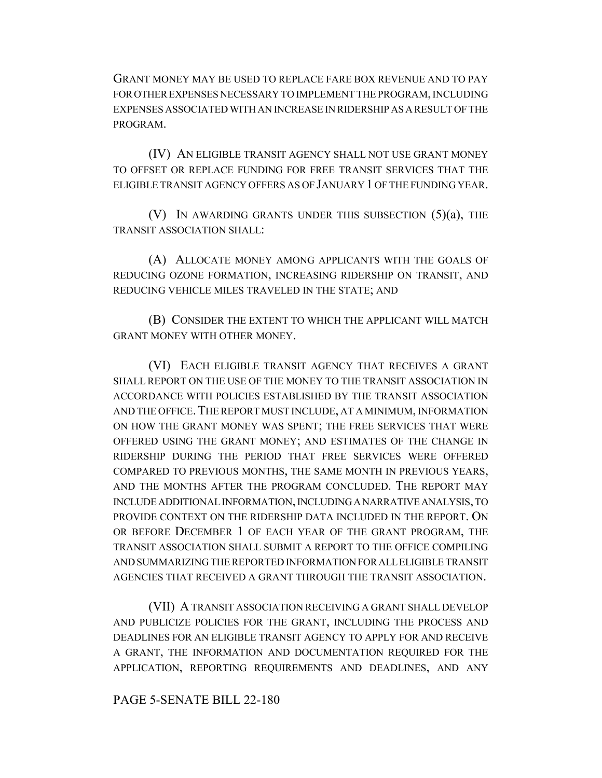GRANT MONEY MAY BE USED TO REPLACE FARE BOX REVENUE AND TO PAY FOR OTHER EXPENSES NECESSARY TO IMPLEMENT THE PROGRAM, INCLUDING EXPENSES ASSOCIATED WITH AN INCREASE IN RIDERSHIP AS A RESULT OF THE PROGRAM.

(IV) AN ELIGIBLE TRANSIT AGENCY SHALL NOT USE GRANT MONEY TO OFFSET OR REPLACE FUNDING FOR FREE TRANSIT SERVICES THAT THE ELIGIBLE TRANSIT AGENCY OFFERS AS OF JANUARY 1 OF THE FUNDING YEAR.

(V) IN AWARDING GRANTS UNDER THIS SUBSECTION  $(5)(a)$ , THE TRANSIT ASSOCIATION SHALL:

(A) ALLOCATE MONEY AMONG APPLICANTS WITH THE GOALS OF REDUCING OZONE FORMATION, INCREASING RIDERSHIP ON TRANSIT, AND REDUCING VEHICLE MILES TRAVELED IN THE STATE; AND

(B) CONSIDER THE EXTENT TO WHICH THE APPLICANT WILL MATCH GRANT MONEY WITH OTHER MONEY.

(VI) EACH ELIGIBLE TRANSIT AGENCY THAT RECEIVES A GRANT SHALL REPORT ON THE USE OF THE MONEY TO THE TRANSIT ASSOCIATION IN ACCORDANCE WITH POLICIES ESTABLISHED BY THE TRANSIT ASSOCIATION AND THE OFFICE. THE REPORT MUST INCLUDE, AT A MINIMUM, INFORMATION ON HOW THE GRANT MONEY WAS SPENT; THE FREE SERVICES THAT WERE OFFERED USING THE GRANT MONEY; AND ESTIMATES OF THE CHANGE IN RIDERSHIP DURING THE PERIOD THAT FREE SERVICES WERE OFFERED COMPARED TO PREVIOUS MONTHS, THE SAME MONTH IN PREVIOUS YEARS, AND THE MONTHS AFTER THE PROGRAM CONCLUDED. THE REPORT MAY INCLUDE ADDITIONAL INFORMATION, INCLUDING A NARRATIVE ANALYSIS, TO PROVIDE CONTEXT ON THE RIDERSHIP DATA INCLUDED IN THE REPORT. ON OR BEFORE DECEMBER 1 OF EACH YEAR OF THE GRANT PROGRAM, THE TRANSIT ASSOCIATION SHALL SUBMIT A REPORT TO THE OFFICE COMPILING AND SUMMARIZING THE REPORTED INFORMATION FOR ALL ELIGIBLE TRANSIT AGENCIES THAT RECEIVED A GRANT THROUGH THE TRANSIT ASSOCIATION.

(VII) A TRANSIT ASSOCIATION RECEIVING A GRANT SHALL DEVELOP AND PUBLICIZE POLICIES FOR THE GRANT, INCLUDING THE PROCESS AND DEADLINES FOR AN ELIGIBLE TRANSIT AGENCY TO APPLY FOR AND RECEIVE A GRANT, THE INFORMATION AND DOCUMENTATION REQUIRED FOR THE APPLICATION, REPORTING REQUIREMENTS AND DEADLINES, AND ANY

## PAGE 5-SENATE BILL 22-180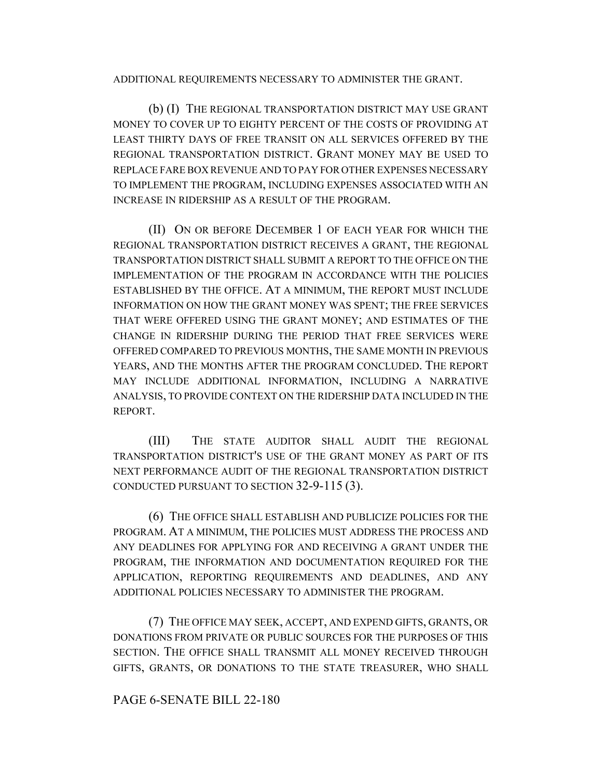ADDITIONAL REQUIREMENTS NECESSARY TO ADMINISTER THE GRANT.

(b) (I) THE REGIONAL TRANSPORTATION DISTRICT MAY USE GRANT MONEY TO COVER UP TO EIGHTY PERCENT OF THE COSTS OF PROVIDING AT LEAST THIRTY DAYS OF FREE TRANSIT ON ALL SERVICES OFFERED BY THE REGIONAL TRANSPORTATION DISTRICT. GRANT MONEY MAY BE USED TO REPLACE FARE BOX REVENUE AND TO PAY FOR OTHER EXPENSES NECESSARY TO IMPLEMENT THE PROGRAM, INCLUDING EXPENSES ASSOCIATED WITH AN INCREASE IN RIDERSHIP AS A RESULT OF THE PROGRAM.

(II) ON OR BEFORE DECEMBER 1 OF EACH YEAR FOR WHICH THE REGIONAL TRANSPORTATION DISTRICT RECEIVES A GRANT, THE REGIONAL TRANSPORTATION DISTRICT SHALL SUBMIT A REPORT TO THE OFFICE ON THE IMPLEMENTATION OF THE PROGRAM IN ACCORDANCE WITH THE POLICIES ESTABLISHED BY THE OFFICE. AT A MINIMUM, THE REPORT MUST INCLUDE INFORMATION ON HOW THE GRANT MONEY WAS SPENT; THE FREE SERVICES THAT WERE OFFERED USING THE GRANT MONEY; AND ESTIMATES OF THE CHANGE IN RIDERSHIP DURING THE PERIOD THAT FREE SERVICES WERE OFFERED COMPARED TO PREVIOUS MONTHS, THE SAME MONTH IN PREVIOUS YEARS, AND THE MONTHS AFTER THE PROGRAM CONCLUDED. THE REPORT MAY INCLUDE ADDITIONAL INFORMATION, INCLUDING A NARRATIVE ANALYSIS, TO PROVIDE CONTEXT ON THE RIDERSHIP DATA INCLUDED IN THE REPORT.

(III) THE STATE AUDITOR SHALL AUDIT THE REGIONAL TRANSPORTATION DISTRICT'S USE OF THE GRANT MONEY AS PART OF ITS NEXT PERFORMANCE AUDIT OF THE REGIONAL TRANSPORTATION DISTRICT CONDUCTED PURSUANT TO SECTION 32-9-115 (3).

(6) THE OFFICE SHALL ESTABLISH AND PUBLICIZE POLICIES FOR THE PROGRAM. AT A MINIMUM, THE POLICIES MUST ADDRESS THE PROCESS AND ANY DEADLINES FOR APPLYING FOR AND RECEIVING A GRANT UNDER THE PROGRAM, THE INFORMATION AND DOCUMENTATION REQUIRED FOR THE APPLICATION, REPORTING REQUIREMENTS AND DEADLINES, AND ANY ADDITIONAL POLICIES NECESSARY TO ADMINISTER THE PROGRAM.

(7) THE OFFICE MAY SEEK, ACCEPT, AND EXPEND GIFTS, GRANTS, OR DONATIONS FROM PRIVATE OR PUBLIC SOURCES FOR THE PURPOSES OF THIS SECTION. THE OFFICE SHALL TRANSMIT ALL MONEY RECEIVED THROUGH GIFTS, GRANTS, OR DONATIONS TO THE STATE TREASURER, WHO SHALL

## PAGE 6-SENATE BILL 22-180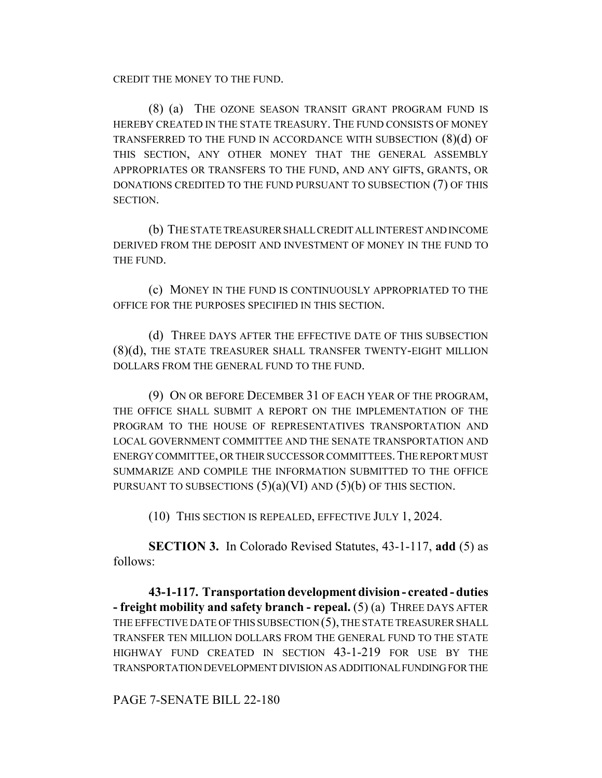CREDIT THE MONEY TO THE FUND.

(8) (a) THE OZONE SEASON TRANSIT GRANT PROGRAM FUND IS HEREBY CREATED IN THE STATE TREASURY. THE FUND CONSISTS OF MONEY TRANSFERRED TO THE FUND IN ACCORDANCE WITH SUBSECTION (8)(d) OF THIS SECTION, ANY OTHER MONEY THAT THE GENERAL ASSEMBLY APPROPRIATES OR TRANSFERS TO THE FUND, AND ANY GIFTS, GRANTS, OR DONATIONS CREDITED TO THE FUND PURSUANT TO SUBSECTION (7) OF THIS SECTION.

(b) THE STATE TREASURER SHALL CREDIT ALL INTEREST AND INCOME DERIVED FROM THE DEPOSIT AND INVESTMENT OF MONEY IN THE FUND TO THE FUND.

(c) MONEY IN THE FUND IS CONTINUOUSLY APPROPRIATED TO THE OFFICE FOR THE PURPOSES SPECIFIED IN THIS SECTION.

(d) THREE DAYS AFTER THE EFFECTIVE DATE OF THIS SUBSECTION (8)(d), THE STATE TREASURER SHALL TRANSFER TWENTY-EIGHT MILLION DOLLARS FROM THE GENERAL FUND TO THE FUND.

(9) ON OR BEFORE DECEMBER 31 OF EACH YEAR OF THE PROGRAM, THE OFFICE SHALL SUBMIT A REPORT ON THE IMPLEMENTATION OF THE PROGRAM TO THE HOUSE OF REPRESENTATIVES TRANSPORTATION AND LOCAL GOVERNMENT COMMITTEE AND THE SENATE TRANSPORTATION AND ENERGY COMMITTEE, OR THEIR SUCCESSOR COMMITTEES.THE REPORT MUST SUMMARIZE AND COMPILE THE INFORMATION SUBMITTED TO THE OFFICE PURSUANT TO SUBSECTIONS  $(5)(a)(VI)$  AND  $(5)(b)$  OF THIS SECTION.

(10) THIS SECTION IS REPEALED, EFFECTIVE JULY 1, 2024.

**SECTION 3.** In Colorado Revised Statutes, 43-1-117, **add** (5) as follows:

**43-1-117. Transportation development division - created - duties - freight mobility and safety branch - repeal.** (5) (a) THREE DAYS AFTER THE EFFECTIVE DATE OF THIS SUBSECTION (5), THE STATE TREASURER SHALL TRANSFER TEN MILLION DOLLARS FROM THE GENERAL FUND TO THE STATE HIGHWAY FUND CREATED IN SECTION 43-1-219 FOR USE BY THE TRANSPORTATION DEVELOPMENT DIVISION AS ADDITIONAL FUNDING FOR THE

PAGE 7-SENATE BILL 22-180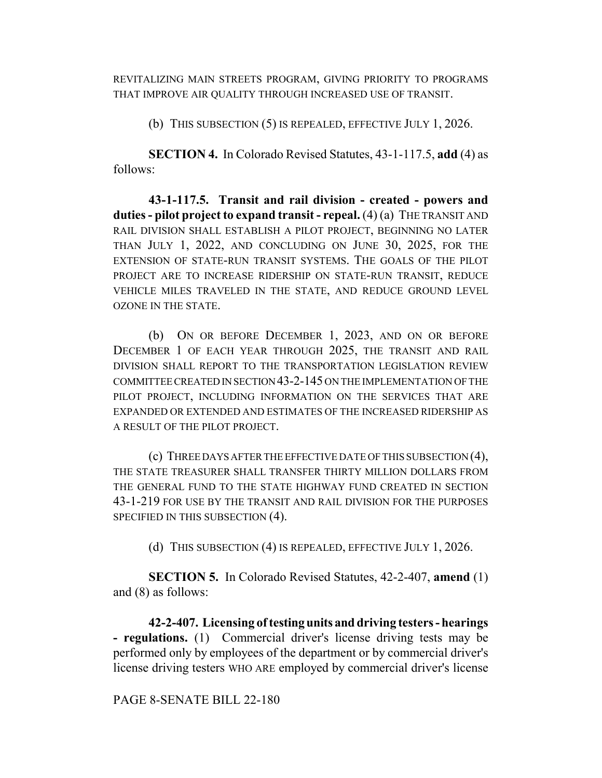REVITALIZING MAIN STREETS PROGRAM, GIVING PRIORITY TO PROGRAMS THAT IMPROVE AIR QUALITY THROUGH INCREASED USE OF TRANSIT.

(b) THIS SUBSECTION (5) IS REPEALED, EFFECTIVE JULY 1, 2026.

**SECTION 4.** In Colorado Revised Statutes, 43-1-117.5, **add** (4) as follows:

**43-1-117.5. Transit and rail division - created - powers and duties - pilot project to expand transit - repeal.** (4) (a) THE TRANSIT AND RAIL DIVISION SHALL ESTABLISH A PILOT PROJECT, BEGINNING NO LATER THAN JULY 1, 2022, AND CONCLUDING ON JUNE 30, 2025, FOR THE EXTENSION OF STATE-RUN TRANSIT SYSTEMS. THE GOALS OF THE PILOT PROJECT ARE TO INCREASE RIDERSHIP ON STATE-RUN TRANSIT, REDUCE VEHICLE MILES TRAVELED IN THE STATE, AND REDUCE GROUND LEVEL OZONE IN THE STATE.

(b) ON OR BEFORE DECEMBER 1, 2023, AND ON OR BEFORE DECEMBER 1 OF EACH YEAR THROUGH 2025, THE TRANSIT AND RAIL DIVISION SHALL REPORT TO THE TRANSPORTATION LEGISLATION REVIEW COMMITTEE CREATED IN SECTION 43-2-145 ON THE IMPLEMENTATION OF THE PILOT PROJECT, INCLUDING INFORMATION ON THE SERVICES THAT ARE EXPANDED OR EXTENDED AND ESTIMATES OF THE INCREASED RIDERSHIP AS A RESULT OF THE PILOT PROJECT.

(c) THREE DAYS AFTER THE EFFECTIVE DATE OF THIS SUBSECTION (4), THE STATE TREASURER SHALL TRANSFER THIRTY MILLION DOLLARS FROM THE GENERAL FUND TO THE STATE HIGHWAY FUND CREATED IN SECTION 43-1-219 FOR USE BY THE TRANSIT AND RAIL DIVISION FOR THE PURPOSES SPECIFIED IN THIS SUBSECTION (4).

(d) THIS SUBSECTION (4) IS REPEALED, EFFECTIVE JULY 1, 2026.

**SECTION 5.** In Colorado Revised Statutes, 42-2-407, **amend** (1) and (8) as follows:

**42-2-407. Licensing of testing units and driving testers - hearings - regulations.** (1) Commercial driver's license driving tests may be performed only by employees of the department or by commercial driver's license driving testers WHO ARE employed by commercial driver's license

PAGE 8-SENATE BILL 22-180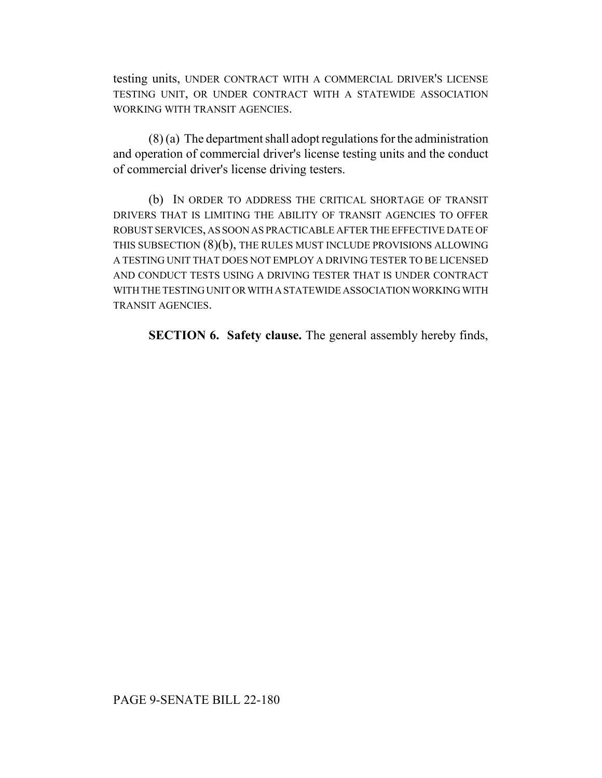testing units, UNDER CONTRACT WITH A COMMERCIAL DRIVER'S LICENSE TESTING UNIT, OR UNDER CONTRACT WITH A STATEWIDE ASSOCIATION WORKING WITH TRANSIT AGENCIES.

(8) (a) The department shall adopt regulations for the administration and operation of commercial driver's license testing units and the conduct of commercial driver's license driving testers.

(b) IN ORDER TO ADDRESS THE CRITICAL SHORTAGE OF TRANSIT DRIVERS THAT IS LIMITING THE ABILITY OF TRANSIT AGENCIES TO OFFER ROBUST SERVICES, AS SOON AS PRACTICABLE AFTER THE EFFECTIVE DATE OF THIS SUBSECTION (8)(b), THE RULES MUST INCLUDE PROVISIONS ALLOWING A TESTING UNIT THAT DOES NOT EMPLOY A DRIVING TESTER TO BE LICENSED AND CONDUCT TESTS USING A DRIVING TESTER THAT IS UNDER CONTRACT WITH THE TESTING UNIT OR WITH A STATEWIDE ASSOCIATION WORKING WITH TRANSIT AGENCIES.

**SECTION 6. Safety clause.** The general assembly hereby finds,